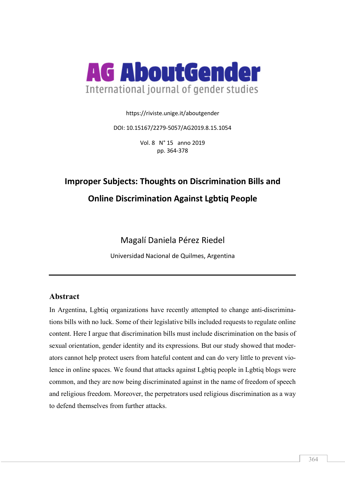

https://riviste.unige.it/aboutgender

DOI: 10.15167/2279-5057/AG2019.8.15.1054

Vol. 8 N° 15 anno 2019 pp. 364-378

# **Improper Subjects: Thoughts on Discrimination Bills and Online Discrimination Against Lgbtiq People**

Magalí Daniela Pérez Riedel

Universidad Nacional de Quilmes, Argentina

# **Abstract**

In Argentina, Lgbtiq organizations have recently attempted to change anti-discriminations bills with no luck. Some of their legislative bills included requests to regulate online content. Here I argue that discrimination bills must include discrimination on the basis of sexual orientation, gender identity and its expressions. But our study showed that moderators cannot help protect users from hateful content and can do very little to prevent violence in online spaces. We found that attacks against Lgbtiq people in Lgbtiq blogs were common, and they are now being discriminated against in the name of freedom of speech and religious freedom. Moreover, the perpetrators used religious discrimination as a way to defend themselves from further attacks.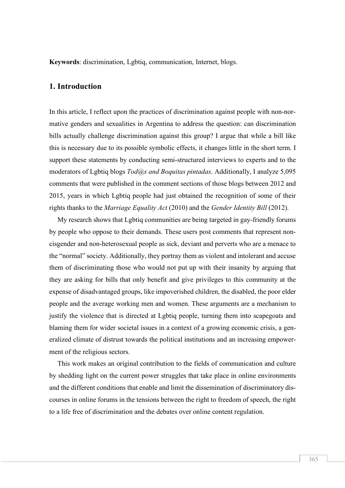**Keywords**: discrimination, Lgbtiq, communication, Internet, blogs.

## **1. Introduction**

In this article, I reflect upon the practices of discrimination against people with non-normative genders and sexualities in Argentina to address the question: can discrimination bills actually challenge discrimination against this group? I argue that while a bill like this is necessary due to its possible symbolic effects, it changes little in the short term. I support these statements by conducting semi-structured interviews to experts and to the moderators of Lgbtiq blogs *Tod@s and Boquitas pintadas*. Additionally, I analyze 5,095 comments that were published in the comment sections of those blogs between 2012 and 2015, years in which Lgbtiq people had just obtained the recognition of some of their rights thanks to the *Marriage Equality Act* (2010) and the *Gender Identity Bill* (2012).

My research shows that Lgbtiq communities are being targeted in gay-friendly forums by people who oppose to their demands. These users post comments that represent noncisgender and non-heterosexual people as sick, deviant and perverts who are a menace to the "normal" society. Additionally, they portray them as violent and intolerant and accuse them of discriminating those who would not put up with their insanity by arguing that they are asking for bills that only benefit and give privileges to this community at the expense of disadvantaged groups, like impoverished children, the disabled, the poor elder people and the average working men and women. These arguments are a mechanism to justify the violence that is directed at Lgbtiq people, turning them into scapegoats and blaming them for wider societal issues in a context of a growing economic crisis, a generalized climate of distrust towards the political institutions and an increasing empowerment of the religious sectors.

This work makes an original contribution to the fields of communication and culture by shedding light on the current power struggles that take place in online environments and the different conditions that enable and limit the dissemination of discriminatory discourses in online forums in the tensions between the right to freedom of speech, the right to a life free of discrimination and the debates over online content regulation.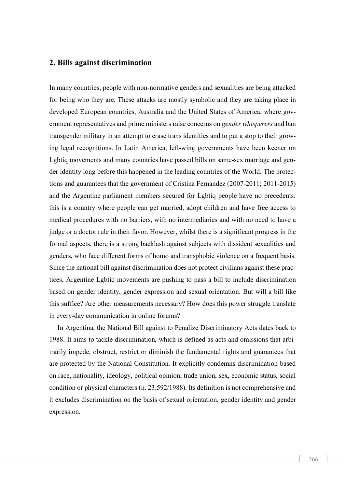#### **2. Bills against discrimination**

In many countries, people with non-normative genders and sexualities are being attacked for being who they are. These attacks are mostly symbolic and they are taking place in developed European countries, Australia and the United States of America, where government representatives and prime ministers raise concerns on *gender whisperers* and ban transgender military in an attempt to erase trans identities and to put a stop to their growing legal recognitions. In Latin America, left-wing governments have been keener on Lgbtiq movements and many countries have passed bills on same-sex marriage and gender identity long before this happened in the leading countries of the World. The protections and guarantees that the government of Cristina Fernandez (2007-2011; 2011-2015) and the Argentine parliament members secured for Lgbtiq people have no precedents: this is a country where people can get married, adopt children and have free access to medical procedures with no barriers, with no intermediaries and with no need to have a judge or a doctor rule in their favor. However, whilst there is a significant progress in the formal aspects, there is a strong backlash against subjects with dissident sexualities and genders, who face different forms of homo and transphobic violence on a frequent basis. Since the national bill against discrimination does not protect civilians against these practices, Argentine Lgbtiq movements are pushing to pass a bill to include discrimination based on gender identity, gender expression and sexual orientation. But will a bill like this suffice? Are other measurements necessary? How does this power struggle translate in every-day communication in online forums?

In Argentina, the National Bill against to Penalize Discriminatory Acts dates back to 1988. It aims to tackle discrimination, which is defined as acts and omissions that arbitrarily impede, obstruct, restrict or diminish the fundamental rights and guarantees that are protected by the National Constitution. It explicitly condemns discrimination based on race, nationality, ideology, political opinion, trade union, sex, economic status, social condition or physical characters (n. 23.592/1988). Its definition is not comprehensive and it excludes discrimination on the basis of sexual orientation, gender identity and gender expression.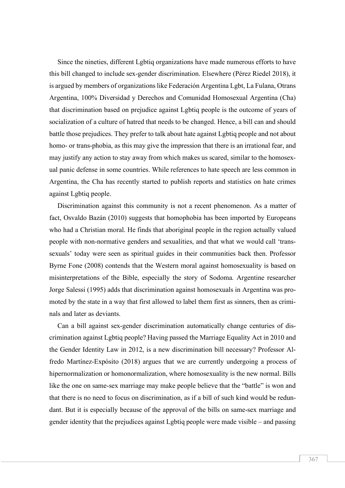Since the nineties, different Lgbtiq organizations have made numerous efforts to have this bill changed to include sex-gender discrimination. Elsewhere (Pérez Riedel 2018), it is argued by members of organizations like Federación Argentina Lgbt, La Fulana, Otrans Argentina, 100% Diversidad y Derechos and Comunidad Homosexual Argentina (Cha) that discrimination based on prejudice against Lgbtiq people is the outcome of years of socialization of a culture of hatred that needs to be changed. Hence, a bill can and should battle those prejudices. They prefer to talk about hate against Lgbtiq people and not about homo- or trans-phobia, as this may give the impression that there is an irrational fear, and may justify any action to stay away from which makes us scared, similar to the homosexual panic defense in some countries. While references to hate speech are less common in Argentina, the Cha has recently started to publish reports and statistics on hate crimes against Lgbtiq people.

Discrimination against this community is not a recent phenomenon. As a matter of fact, Osvaldo Bazán (2010) suggests that homophobia has been imported by Europeans who had a Christian moral. He finds that aboriginal people in the region actually valued people with non-normative genders and sexualities, and that what we would call 'transsexuals' today were seen as spiritual guides in their communities back then. Professor Byrne Fone (2008) contends that the Western moral against homosexuality is based on misinterpretations of the Bible, especially the story of Sodoma. Argentine researcher Jorge Salessi (1995) adds that discrimination against homosexuals in Argentina was promoted by the state in a way that first allowed to label them first as sinners, then as criminals and later as deviants.

Can a bill against sex-gender discrimination automatically change centuries of discrimination against Lgbtiq people? Having passed the Marriage Equality Act in 2010 and the Gender Identity Law in 2012, is a new discrimination bill necessary? Professor Alfredo Martínez-Expósito (2018) argues that we are currently undergoing a process of hipernormalization or homonormalization, where homosexuality is the new normal. Bills like the one on same-sex marriage may make people believe that the "battle" is won and that there is no need to focus on discrimination, as if a bill of such kind would be redundant. But it is especially because of the approval of the bills on same-sex marriage and gender identity that the prejudices against Lgbtiq people were made visible – and passing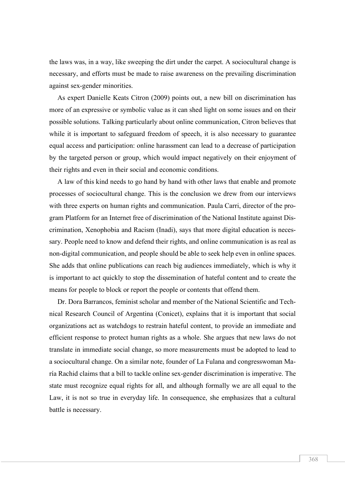the laws was, in a way, like sweeping the dirt under the carpet. A sociocultural change is necessary, and efforts must be made to raise awareness on the prevailing discrimination against sex-gender minorities.

As expert Danielle Keats Citron (2009) points out, a new bill on discrimination has more of an expressive or symbolic value as it can shed light on some issues and on their possible solutions. Talking particularly about online communication, Citron believes that while it is important to safeguard freedom of speech, it is also necessary to guarantee equal access and participation: online harassment can lead to a decrease of participation by the targeted person or group, which would impact negatively on their enjoyment of their rights and even in their social and economic conditions.

A law of this kind needs to go hand by hand with other laws that enable and promote processes of sociocultural change. This is the conclusion we drew from our interviews with three experts on human rights and communication. Paula Carri, director of the program Platform for an Internet free of discrimination of the National Institute against Discrimination, Xenophobia and Racism (Inadi), says that more digital education is necessary. People need to know and defend their rights, and online communication is as real as non-digital communication, and people should be able to seek help even in online spaces. She adds that online publications can reach big audiences immediately, which is why it is important to act quickly to stop the dissemination of hateful content and to create the means for people to block or report the people or contents that offend them.

Dr. Dora Barrancos, feminist scholar and member of the National Scientific and Technical Research Council of Argentina (Conicet), explains that it is important that social organizations act as watchdogs to restrain hateful content, to provide an immediate and efficient response to protect human rights as a whole. She argues that new laws do not translate in immediate social change, so more measurements must be adopted to lead to a sociocultural change. On a similar note, founder of La Fulana and congresswoman María Rachid claims that a bill to tackle online sex-gender discrimination is imperative. The state must recognize equal rights for all, and although formally we are all equal to the Law, it is not so true in everyday life. In consequence, she emphasizes that a cultural battle is necessary.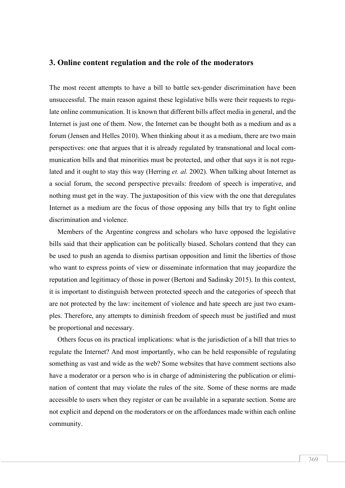#### **3. Online content regulation and the role of the moderators**

The most recent attempts to have a bill to battle sex-gender discrimination have been unsuccessful. The main reason against these legislative bills were their requests to regulate online communication. It is known that different bills affect media in general, and the Internet is just one of them. Now, the Internet can be thought both as a medium and as a forum (Jensen and Helles 2010). When thinking about it as a medium, there are two main perspectives: one that argues that it is already regulated by transnational and local communication bills and that minorities must be protected, and other that says it is not regulated and it ought to stay this way (Herring *et. al.* 2002). When talking about Internet as a social forum, the second perspective prevails: freedom of speech is imperative, and nothing must get in the way. The juxtaposition of this view with the one that deregulates Internet as a medium are the focus of those opposing any bills that try to fight online discrimination and violence.

Members of the Argentine congress and scholars who have opposed the legislative bills said that their application can be politically biased. Scholars contend that they can be used to push an agenda to dismiss partisan opposition and limit the liberties of those who want to express points of view or disseminate information that may jeopardize the reputation and legitimacy of those in power (Bertoni and Sadinsky 2015). In this context, it is important to distinguish between protected speech and the categories of speech that are not protected by the law: incitement of violence and hate speech are just two examples. Therefore, any attempts to diminish freedom of speech must be justified and must be proportional and necessary.

Others focus on its practical implications: what is the jurisdiction of a bill that tries to regulate the Internet? And most importantly, who can be held responsible of regulating something as vast and wide as the web? Some websites that have comment sections also have a moderator or a person who is in charge of administering the publication or elimination of content that may violate the rules of the site. Some of these norms are made accessible to users when they register or can be available in a separate section. Some are not explicit and depend on the moderators or on the affordances made within each online community.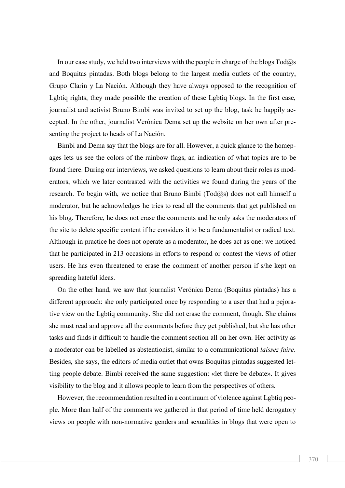In our case study, we held two interviews with the people in charge of the blogs  $Tod\omega$ s and Boquitas pintadas. Both blogs belong to the largest media outlets of the country, Grupo Clarín y La Nación. Although they have always opposed to the recognition of Lgbtiq rights, they made possible the creation of these Lgbtiq blogs. In the first case, journalist and activist Bruno Bimbi was invited to set up the blog, task he happily accepted. In the other, journalist Verónica Dema set up the website on her own after presenting the project to heads of La Nación.

Bimbi and Dema say that the blogs are for all. However, a quick glance to the homepages lets us see the colors of the rainbow flags, an indication of what topics are to be found there. During our interviews, we asked questions to learn about their roles as moderators, which we later contrasted with the activities we found during the years of the research. To begin with, we notice that Bruno Bimbi ( $\text{Total}(a)$ ) does not call himself a moderator, but he acknowledges he tries to read all the comments that get published on his blog. Therefore, he does not erase the comments and he only asks the moderators of the site to delete specific content if he considers it to be a fundamentalist or radical text. Although in practice he does not operate as a moderator, he does act as one: we noticed that he participated in 213 occasions in efforts to respond or contest the views of other users. He has even threatened to erase the comment of another person if s/he kept on spreading hateful ideas.

On the other hand, we saw that journalist Verónica Dema (Boquitas pintadas) has a different approach: she only participated once by responding to a user that had a pejorative view on the Lgbtiq community. She did not erase the comment, though. She claims she must read and approve all the comments before they get published, but she has other tasks and finds it difficult to handle the comment section all on her own. Her activity as a moderator can be labelled as abstentionist, similar to a communicational *laissez faire*. Besides, she says, the editors of media outlet that owns Boquitas pintadas suggested letting people debate. Bimbi received the same suggestion: «let there be debate». It gives visibility to the blog and it allows people to learn from the perspectives of others.

However, the recommendation resulted in a continuum of violence against Lgbtiq people. More than half of the comments we gathered in that period of time held derogatory views on people with non-normative genders and sexualities in blogs that were open to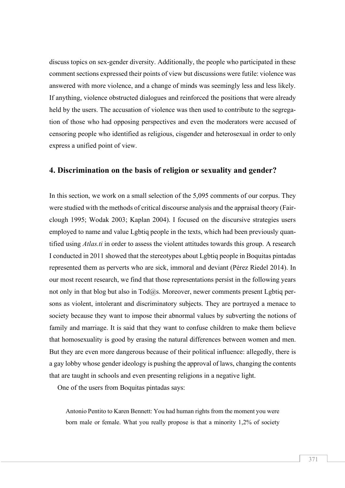discuss topics on sex-gender diversity. Additionally, the people who participated in these comment sections expressed their points of view but discussions were futile: violence was answered with more violence, and a change of minds was seemingly less and less likely. If anything, violence obstructed dialogues and reinforced the positions that were already held by the users. The accusation of violence was then used to contribute to the segregation of those who had opposing perspectives and even the moderators were accused of censoring people who identified as religious, cisgender and heterosexual in order to only express a unified point of view.

#### **4. Discrimination on the basis of religion or sexuality and gender?**

In this section, we work on a small selection of the 5,095 comments of our corpus. They were studied with the methods of critical discourse analysis and the appraisal theory (Fairclough 1995; Wodak 2003; Kaplan 2004). I focused on the discursive strategies users employed to name and value Lgbtiq people in the texts, which had been previously quantified using *Atlas.ti* in order to assess the violent attitudes towards this group. A research I conducted in 2011 showed that the stereotypes about Lgbtiq people in Boquitas pintadas represented them as perverts who are sick, immoral and deviant (Pérez Riedel 2014). In our most recent research, we find that those representations persist in the following years not only in that blog but also in Tod@s. Moreover, newer comments present Lgbtiq persons as violent, intolerant and discriminatory subjects. They are portrayed a menace to society because they want to impose their abnormal values by subverting the notions of family and marriage. It is said that they want to confuse children to make them believe that homosexuality is good by erasing the natural differences between women and men. But they are even more dangerous because of their political influence: allegedly, there is a gay lobby whose gender ideology is pushing the approval of laws, changing the contents that are taught in schools and even presenting religions in a negative light.

One of the users from Boquitas pintadas says:

Antonio Pentito to Karen Bennett: You had human rights from the moment you were born male or female. What you really propose is that a minority 1,2% of society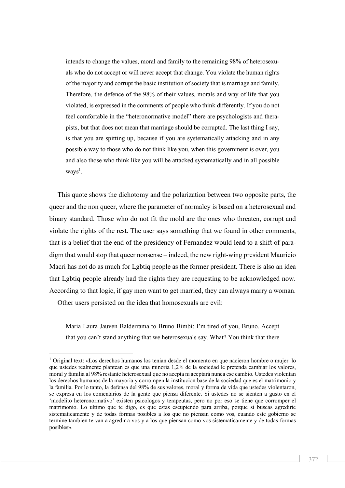intends to change the values, moral and family to the remaining 98% of heterosexuals who do not accept or will never accept that change. You violate the human rights of the majority and corrupt the basic institution of society that is marriage and family. Therefore, the defence of the 98% of their values, morals and way of life that you violated, is expressed in the comments of people who think differently. If you do not feel comfortable in the "heteronormative model" there are psychologists and therapists, but that does not mean that marriage should be corrupted. The last thing I say, is that you are spitting up, because if you are systematically attacking and in any possible way to those who do not think like you, when this government is over, you and also those who think like you will be attacked systematically and in all possible  $ways<sup>1</sup>$ .

This quote shows the dichotomy and the polarization between two opposite parts, the queer and the non queer, where the parameter of normalcy is based on a heterosexual and binary standard. Those who do not fit the mold are the ones who threaten, corrupt and violate the rights of the rest. The user says something that we found in other comments, that is a belief that the end of the presidency of Fernandez would lead to a shift of paradigm that would stop that queer nonsense – indeed, the new right-wing president Mauricio Macri has not do as much for Lgbtiq people as the former president. There is also an idea that Lgbtiq people already had the rights they are requesting to be acknowledged now. According to that logic, if gay men want to get married, they can always marry a woman.

Other users persisted on the idea that homosexuals are evil:

 $\overline{a}$ 

Maria Laura Jauven Balderrama to Bruno Bimbi: I'm tired of you, Bruno. Accept that you can't stand anything that we heterosexuals say. What? You think that there

<sup>1</sup> Original text: «Los derechos humanos los tenian desde el momento en que nacieron hombre o mujer. lo que ustedes realmente plantean es que una minoria 1,2% de la sociedad le pretenda cambiar los valores, moral y familia al 98% restante heterosexual que no acepta ni aceptará nunca ese cambio. Ustedes violentan los derechos humanos de la mayoria y corrompen la institucion base de la sociedad que es el matrimonio y la familia. Por lo tanto, la defensa del 98% de sus valores, moral y forma de vida que ustedes violentaron, se expresa en los comentarios de la gente que piensa diferente. Si ustedes no se sienten a gusto en el 'modelito heteronormativo' existen psicologos y terapeutas, pero no por eso se tiene que corromper el matrimonio. Lo ultimo que te digo, es que estas escupiendo para arriba, porque si buscas agredirte sistematicamente y de todas formas posibles a los que no piensan como vos, cuando este gobierno se termine tambien te van a agredir a vos y a los que piensan como vos sistematicamente y de todas formas posibles».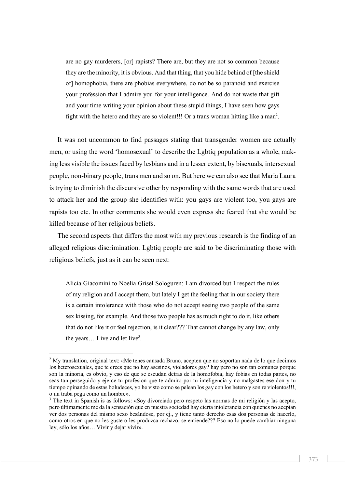are no gay murderers, [or] rapists? There are, but they are not so common because they are the minority, it is obvious. And that thing, that you hide behind of [the shield of] homophobia, there are phobias everywhere, do not be so paranoid and exercise your profession that I admire you for your intelligence. And do not waste that gift and your time writing your opinion about these stupid things, I have seen how gays fight with the hetero and they are so violent!!! Or a trans woman hitting like a man<sup>2</sup>.

It was not uncommon to find passages stating that transgender women are actually men, or using the word 'homosexual' to describe the Lgbtiq population as a whole, making less visible the issues faced by lesbians and in a lesser extent, by bisexuals, intersexual people, non-binary people, trans men and so on. But here we can also see that Maria Laura is trying to diminish the discursive other by responding with the same words that are used to attack her and the group she identifies with: you gays are violent too, you gays are rapists too etc. In other comments she would even express she feared that she would be killed because of her religious beliefs.

The second aspects that differs the most with my previous research is the finding of an alleged religious discrimination. Lgbtiq people are said to be discriminating those with religious beliefs, just as it can be seen next:

Alicia Giacomini to Noelia Grisel Sologuren: I am divorced but I respect the rules of my religion and I accept them, but lately I get the feeling that in our society there is a certain intolerance with those who do not accept seeing two people of the same sex kissing, for example. And those two people has as much right to do it, like others that do not like it or feel rejection, is it clear??? That cannot change by any law, only the years... Live and let live<sup>3</sup>.

 $\overline{a}$ 

<sup>2</sup> My translation, original text: «Me tenes cansada Bruno, acepten que no soportan nada de lo que decimos los heterosexuales, que te crees que no hay asesinos, violadores gay? hay pero no son tan comunes porque son la minoria, es obvio, y eso de que se escudan detras de la homofobia, hay fobias en todas partes, no seas tan perseguido y ejerce tu profesion que te admiro por tu inteligencia y no malgastes ese don y tu tiempo opinando de estas boludeces, yo he visto como se pelean los gay con los hetero y son re violentos!!!, o un traba pega como un hombre».

<sup>3</sup> The text in Spanish is as follows: «Soy divorciada pero respeto las normas de mi religión y las acepto, pero últimamente me da la sensación que en nuestra sociedad hay cierta intolerancia con quienes no aceptan ver dos personas del mismo sexo besándose, por ej., y tiene tanto derecho esas dos personas de hacerlo, como otros en que no les guste o les produzca rechazo, se entiende??? Eso no lo puede cambiar ninguna ley, sólo los años… Vivir y dejar vivir».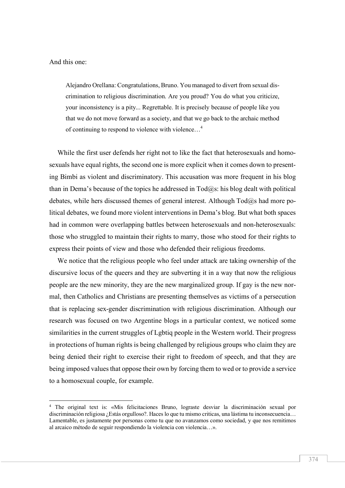And this one:

 $\overline{a}$ 

Alejandro Orellana: Congratulations, Bruno. You managed to divert from sexual discrimination to religious discrimination. Are you proud? You do what you criticize, your inconsistency is a pity... Regrettable. It is precisely because of people like you that we do not move forward as a society, and that we go back to the archaic method of continuing to respond to violence with violence…4

While the first user defends her right not to like the fact that heterosexuals and homosexuals have equal rights, the second one is more explicit when it comes down to presenting Bimbi as violent and discriminatory. This accusation was more frequent in his blog than in Dema's because of the topics he addressed in  $Tod@s$ : his blog dealt with political debates, while hers discussed themes of general interest. Although  $Tod@s$  had more political debates, we found more violent interventions in Dema's blog. But what both spaces had in common were overlapping battles between heterosexuals and non-heterosexuals: those who struggled to maintain their rights to marry, those who stood for their rights to express their points of view and those who defended their religious freedoms.

We notice that the religious people who feel under attack are taking ownership of the discursive locus of the queers and they are subverting it in a way that now the religious people are the new minority, they are the new marginalized group. If gay is the new normal, then Catholics and Christians are presenting themselves as victims of a persecution that is replacing sex-gender discrimination with religious discrimination. Although our research was focused on two Argentine blogs in a particular context, we noticed some similarities in the current struggles of Lgbtiq people in the Western world. Their progress in protections of human rights is being challenged by religious groups who claim they are being denied their right to exercise their right to freedom of speech, and that they are being imposed values that oppose their own by forcing them to wed or to provide a service to a homosexual couple, for example.

<sup>4</sup> The original text is: «Mis felicitaciones Bruno, lograste desviar la discriminación sexual por discriminación religiosa ¿Estás orgulloso?. Haces lo que tu mismo criticas, una lástima tu inconsecuencia… Lamentable, es justamente por personas como tu que no avanzamos como sociedad, y que nos remitimos al arcaico método de seguir respondiendo la violencia con violencia…».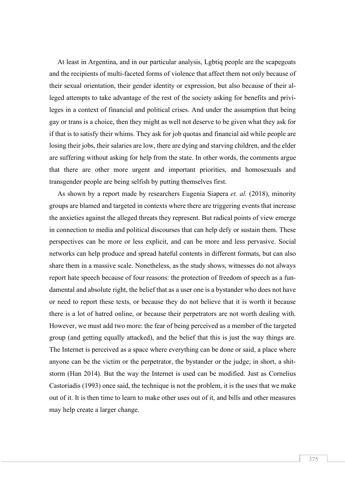At least in Argentina, and in our particular analysis, Lgbtiq people are the scapegoats and the recipients of multi-faceted forms of violence that affect them not only because of their sexual orientation, their gender identity or expression, but also because of their alleged attempts to take advantage of the rest of the society asking for benefits and privileges in a context of financial and political crises. And under the assumption that being gay or trans is a choice, then they might as well not deserve to be given what they ask for if that is to satisfy their whims. They ask for job quotas and financial aid while people are losing their jobs, their salaries are low, there are dying and starving children, and the elder are suffering without asking for help from the state. In other words, the comments argue that there are other more urgent and important priorities, and homosexuals and transgender people are being selfish by putting themselves first.

As shown by a report made by researchers Eugenia Siapera *et. al.* (2018), minority groups are blamed and targeted in contexts where there are triggering events that increase the anxieties against the alleged threats they represent. But radical points of view emerge in connection to media and political discourses that can help defy or sustain them. These perspectives can be more or less explicit, and can be more and less pervasive. Social networks can help produce and spread hateful contents in different formats, but can also share them in a massive scale. Nonetheless, as the study shows, witnesses do not always report hate speech because of four reasons: the protection of freedom of speech as a fundamental and absolute right, the belief that as a user one is a bystander who does not have or need to report these texts, or because they do not believe that it is worth it because there is a lot of hatred online, or because their perpetrators are not worth dealing with. However, we must add two more: the fear of being perceived as a member of the targeted group (and getting equally attacked), and the belief that this is just the way things are. The Internet is perceived as a space where everything can be done or said, a place where anyone can be the victim or the perpetrator, the bystander or the judge; in short, a shitstorm (Han 2014). But the way the Internet is used can be modified. Just as Cornelius Castoriadis (1993) once said, the technique is not the problem, it is the uses that we make out of it. It is then time to learn to make other uses out of it, and bills and other measures may help create a larger change.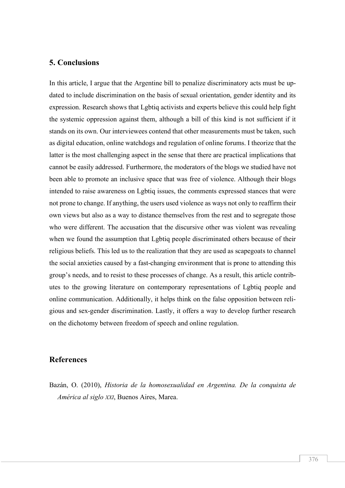### **5. Conclusions**

In this article, I argue that the Argentine bill to penalize discriminatory acts must be updated to include discrimination on the basis of sexual orientation, gender identity and its expression. Research shows that Lgbtiq activists and experts believe this could help fight the systemic oppression against them, although a bill of this kind is not sufficient if it stands on its own. Our interviewees contend that other measurements must be taken, such as digital education, online watchdogs and regulation of online forums. I theorize that the latter is the most challenging aspect in the sense that there are practical implications that cannot be easily addressed. Furthermore, the moderators of the blogs we studied have not been able to promote an inclusive space that was free of violence. Although their blogs intended to raise awareness on Lgbtiq issues, the comments expressed stances that were not prone to change. If anything, the users used violence as ways not only to reaffirm their own views but also as a way to distance themselves from the rest and to segregate those who were different. The accusation that the discursive other was violent was revealing when we found the assumption that Lgbtiq people discriminated others because of their religious beliefs. This led us to the realization that they are used as scapegoats to channel the social anxieties caused by a fast-changing environment that is prone to attending this group's needs, and to resist to these processes of change. As a result, this article contributes to the growing literature on contemporary representations of Lgbtiq people and online communication. Additionally, it helps think on the false opposition between religious and sex-gender discrimination. Lastly, it offers a way to develop further research on the dichotomy between freedom of speech and online regulation.

#### **References**

Bazán, O. (2010), *Historia de la homosexualidad en Argentina. De la conquista de América al siglo XXI*, Buenos Aires, Marea.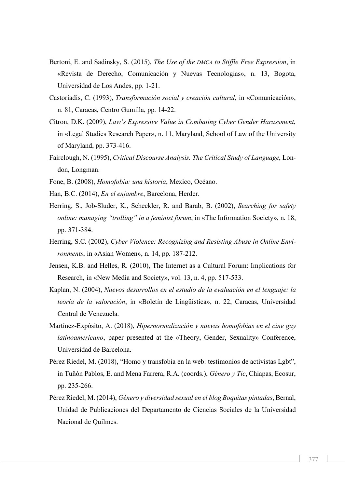- Bertoni, E. and Sadinsky, S. (2015), *The Use of the DMCA to Stiffle Free Expression*, in «Revista de Derecho, Comunicación y Nuevas Tecnologías», n. 13, Bogota, Universidad de Los Andes, pp. 1-21.
- Castoriadis, C. (1993), *Transformación social y creación cultural*, in «Comunicación», n. 81, Caracas, Centro Gumilla, pp. 14-22.
- Citron, D.K. (2009), *Law's Expressive Value in Combating Cyber Gender Harassment*, in «Legal Studies Research Paper», n. 11, Maryland, School of Law of the University of Maryland, pp. 373-416.
- Fairclough, N. (1995), *Critical Discourse Analysis. The Critical Study of Language*, London, Longman.
- Fone, B. (2008), *Homofobia: una historia*, Mexico, Océano.
- Han, B.C. (2014), *En el enjambre*, Barcelona, Herder.
- Herring, S., Job-Sluder, K., Scheckler, R. and Barab, B. (2002), *Searching for safety online: managing "trolling" in a feminist forum*, in «The Information Society», n. 18, pp. 371-384.
- Herring, S.C. (2002), *Cyber Violence: Recognizing and Resisting Abuse in Online Environments*, in «Asian Women», n. 14, pp. 187-212.
- Jensen, K.B. and Helles, R. (2010), The Internet as a Cultural Forum: Implications for Research, in «New Media and Society», vol. 13, n. 4, pp. 517-533.
- Kaplan, N. (2004), *Nuevos desarrollos en el estudio de la evaluación en el lenguaje: la teoría de la valoración*, in «Boletín de Lingüística», n. 22, Caracas, Universidad Central de Venezuela.
- Martínez-Expósito, A. (2018), *Hipernormalización y nuevas homofobias en el cine gay latinoamericano*, paper presented at the «Theory, Gender, Sexuality» Conference, Universidad de Barcelona.
- Pérez Riedel, M. (2018), "Homo y transfobia en la web: testimonios de activistas Lgbt", in Tuñón Pablos, E. and Mena Farrera, R.A. (coords.), *Género y Tic*, Chiapas, Ecosur, pp. 235-266.
- Pérez Riedel, M. (2014), *Género y diversidad sexual en el blog Boquitas pintadas*, Bernal, Unidad de Publicaciones del Departamento de Ciencias Sociales de la Universidad Nacional de Quilmes.